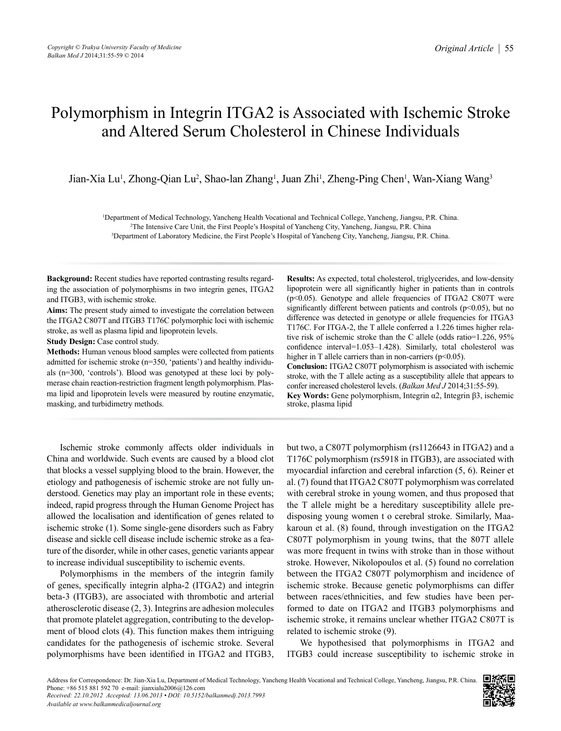# Polymorphism in Integrin ITGA2 is Associated with Ischemic Stroke and Altered Serum Cholesterol in Chinese Individuals

Jian-Xia Lu<sup>1</sup>, Zhong-Qian Lu<sup>2</sup>, Shao-lan Zhang<sup>1</sup>, Juan Zhi<sup>1</sup>, Zheng-Ping Chen<sup>1</sup>, Wan-Xiang Wang<sup>3</sup>

1 Department of Medical Technology, Yancheng Health Vocational and Technical College, Yancheng, Jiangsu, P.R. China. 2 The Intensive Care Unit, the First People's Hospital of Yancheng City, Yancheng, Jiangsu, P.R. China 3 Department of Laboratory Medicine, the First People's Hospital of Yancheng City, Yancheng, Jiangsu, P.R. China.

**Background:** Recent studies have reported contrasting results regarding the association of polymorphisms in two integrin genes, ITGA2 and ITGB3, with ischemic stroke.

**Aims:** The present study aimed to investigate the correlation between the ITGA2 C807T and ITGB3 T176C polymorphic loci with ischemic stroke, as well as plasma lipid and lipoprotein levels.

**Study Design:** Case control study.

**Methods:** Human venous blood samples were collected from patients admitted for ischemic stroke (n=350, 'patients') and healthy individuals (n=300, 'controls'). Blood was genotyped at these loci by polymerase chain reaction-restriction fragment length polymorphism. Plasma lipid and lipoprotein levels were measured by routine enzymatic, masking, and turbidimetry methods.

**Results:** As expected, total cholesterol, triglycerides, and low-density lipoprotein were all significantly higher in patients than in controls (p<0.05). Genotype and allele frequencies of ITGA2 C807T were significantly different between patients and controls ( $p$ <0.05), but no difference was detected in genotype or allele frequencies for ITGA3 T176C. For ITGA-2, the T allele conferred a 1.226 times higher relative risk of ischemic stroke than the C allele (odds ratio=1.226, 95% confidence interval=1.053–1.428). Similarly, total cholesterol was higher in T allele carriers than in non-carriers (p<0.05).

**Conclusion:** ITGA2 C807T polymorphism is associated with ischemic stroke, with the T allele acting as a susceptibility allele that appears to confer increased cholesterol levels. (*Balkan Med J* 2014;31:55-59). **Key Words:** Gene polymorphism, Integrin α2, Integrin β3, ischemic stroke, plasma lipid

Ischemic stroke commonly affects older individuals in China and worldwide. Such events are caused by a blood clot that blocks a vessel supplying blood to the brain. However, the etiology and pathogenesis of ischemic stroke are not fully understood. Genetics may play an important role in these events; indeed, rapid progress through the Human Genome Project has allowed the localisation and identification of genes related to ischemic stroke (1). Some single-gene disorders such as Fabry disease and sickle cell disease include ischemic stroke as a feature of the disorder, while in other cases, genetic variants appear to increase individual susceptibility to ischemic events.

Polymorphisms in the members of the integrin family of genes, specifically integrin alpha-2 (ITGA2) and integrin beta-3 (ITGB3), are associated with thrombotic and arterial atherosclerotic disease (2, 3). Integrins are adhesion molecules that promote platelet aggregation, contributing to the development of blood clots (4). This function makes them intriguing candidates for the pathogenesis of ischemic stroke. Several polymorphisms have been identified in ITGA2 and ITGB3,

but two, a C807T polymorphism (rs1126643 in ITGA2) and a T176C polymorphism (rs5918 in ITGB3), are associated with myocardial infarction and cerebral infarction (5, 6). Reiner et al. (7) found that ITGA2 C807T polymorphism was correlated with cerebral stroke in young women, and thus proposed that the T allele might be a hereditary susceptibility allele predisposing young women t o cerebral stroke. Similarly, Maakaroun et al. (8) found, through investigation on the ITGA2 C807T polymorphism in young twins, that the 807T allele was more frequent in twins with stroke than in those without stroke. However, Nikolopoulos et al. (5) found no correlation between the ITGA2 C807T polymorphism and incidence of ischemic stroke. Because genetic polymorphisms can differ between races/ethnicities, and few studies have been performed to date on ITGA2 and ITGB3 polymorphisms and ischemic stroke, it remains unclear whether ITGA2 C807T is related to ischemic stroke (9).

We hypothesised that polymorphisms in ITGA2 and ITGB3 could increase susceptibility to ischemic stroke in

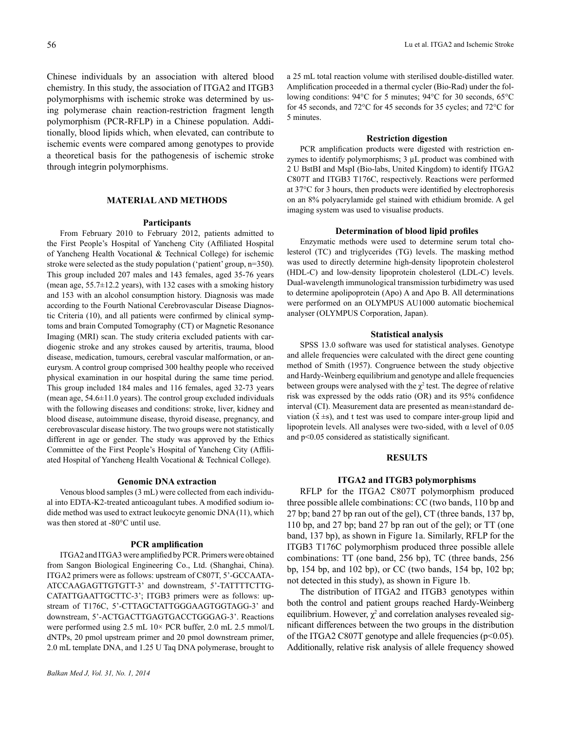Chinese individuals by an association with altered blood chemistry. In this study, the association of ITGA2 and ITGB3 polymorphisms with ischemic stroke was determined by using polymerase chain reaction-restriction fragment length polymorphism (PCR-RFLP) in a Chinese population. Additionally, blood lipids which, when elevated, can contribute to ischemic events were compared among genotypes to provide a theoretical basis for the pathogenesis of ischemic stroke through integrin polymorphisms.

#### **MATERIAL AND METHODS**

#### **Participants**

From February 2010 to February 2012, patients admitted to the First People's Hospital of Yancheng City (Affiliated Hospital of Yancheng Health Vocational & Technical College) for ischemic stroke were selected as the study population ('patient' group, n=350). This group included 207 males and 143 females, aged 35-76 years (mean age,  $55.7\pm12.2$  years), with 132 cases with a smoking history and 153 with an alcohol consumption history. Diagnosis was made according to the Fourth National Cerebrovascular Disease Diagnostic Criteria (10), and all patients were confirmed by clinical symptoms and brain Computed Tomography (CT) or Magnetic Resonance Imaging (MRI) scan. The study criteria excluded patients with cardiogenic stroke and any strokes caused by arteritis, trauma, blood disease, medication, tumours, cerebral vascular malformation, or aneurysm. A control group comprised 300 healthy people who received physical examination in our hospital during the same time period. This group included 184 males and 116 females, aged 32-73 years (mean age, 54.6±11.0 years). The control group excluded individuals with the following diseases and conditions: stroke, liver, kidney and blood disease, autoimmune disease, thyroid disease, pregnancy, and cerebrovascular disease history. The two groups were not statistically different in age or gender. The study was approved by the Ethics Committee of the First People's Hospital of Yancheng City (Affiliated Hospital of Yancheng Health Vocational & Technical College).

#### **Genomic DNA extraction**

Venous blood samples (3 mL) were collected from each individual into EDTA-K2-treated anticoagulant tubes. A modified sodium iodide method was used to extract leukocyte genomic DNA (11), which was then stored at -80°C until use.

#### **PCR amplification**

ITGA2 and ITGA3 were amplified by PCR. Primers were obtained from Sangon Biological Engineering Co., Ltd. (Shanghai, China). ITGA2 primers were as follows: upstream of C807T, 5'-GCCAATA-ATCCAAGAGTTGTGTT-3' and downstream, 5'-TATTTTCTTG-CATATTGAATTGCTTC-3'; ITGB3 primers were as follows: upstream of T176C, 5'-CTTAGCTATTGGGAAGTGGTAGG-3' and downstream, 5'-ACTGACTTGAGTGACCTGGGAG-3'. Reactions were performed using 2.5 mL 10× PCR buffer, 2.0 mL 2.5 mmol/L dNTPs, 20 pmol upstream primer and 20 pmol downstream primer, 2.0 mL template DNA, and 1.25 U Taq DNA polymerase, brought to

a 25 mL total reaction volume with sterilised double-distilled water. Amplification proceeded in a thermal cycler (Bio-Rad) under the following conditions: 94°C for 5 minutes; 94°C for 30 seconds, 65°C for 45 seconds, and 72°C for 45 seconds for 35 cycles; and 72°C for 5 minutes.

### **Restriction digestion**

PCR amplification products were digested with restriction enzymes to identify polymorphisms; 3  $\mu$ L product was combined with 2 U BstBI and MspI (Bio-labs, United Kingdom) to identify ITGA2 C807T and ITGB3 T176C, respectively. Reactions were performed at 37°C for 3 hours, then products were identified by electrophoresis on an 8% polyacrylamide gel stained with ethidium bromide. A gel imaging system was used to visualise products.

#### **Determination of blood lipid profiles**

Enzymatic methods were used to determine serum total cholesterol (TC) and triglycerides (TG) levels. The masking method was used to directly determine high-density lipoprotein cholesterol (HDL-C) and low-density lipoprotein cholesterol (LDL-C) levels. Dual-wavelength immunological transmission turbidimetry was used to determine apolipoprotein (Apo) A and Apo B. All determinations were performed on an OLYMPUS AU1000 automatic biochemical analyser (OLYMPUS Corporation, Japan).

### **Statistical analysis**

SPSS 13.0 software was used for statistical analyses. Genotype and allele frequencies were calculated with the direct gene counting method of Smith (1957). Congruence between the study objective and Hardy-Weinberg equilibrium and genotype and allele frequencies between groups were analysed with the  $\chi^2$  test. The degree of relative risk was expressed by the odds ratio (OR) and its 95% confidence interval (CI). Measurement data are presented as mean±standard deviation  $(\bar{x} \pm s)$ , and t test was used to compare inter-group lipid and lipoprotein levels. All analyses were two-sided, with  $\alpha$  level of 0.05 and p<0.05 considered as statistically significant.

#### **RESULTS**

#### **ITGA2 and ITGB3 polymorphisms**

RFLP for the ITGA2 C807T polymorphism produced three possible allele combinations: CC (two bands, 110 bp and 27 bp; band 27 bp ran out of the gel), CT (three bands, 137 bp, 110 bp, and 27 bp; band 27 bp ran out of the gel); or TT (one band, 137 bp), as shown in Figure 1a. Similarly, RFLP for the ITGB3 T176C polymorphism produced three possible allele combinations: TT (one band, 256 bp), TC (three bands, 256 bp, 154 bp, and 102 bp), or CC (two bands, 154 bp, 102 bp; not detected in this study), as shown in Figure 1b.

The distribution of ITGA2 and ITGB3 genotypes within both the control and patient groups reached Hardy-Weinberg equilibrium. However,  $\chi^2$  and correlation analyses revealed significant differences between the two groups in the distribution of the ITGA2 C807T genotype and allele frequencies (p<0.05). Additionally, relative risk analysis of allele frequency showed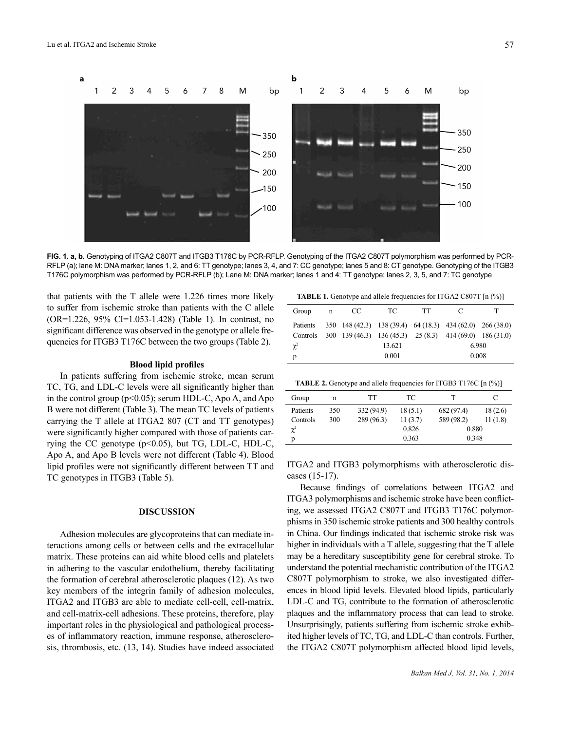

**FIG. 1. a, b.** Genotyping of ITGA2 C807T and ITGB3 T176C by PCR-RFLP. Genotyping of the ITGA2 C807T polymorphism was performed by PCR-RFLP (a); lane M: DNA marker; lanes 1, 2, and 6: TT genotype; lanes 3, 4, and 7: CC genotype; lanes 5 and 8: CT genotype. Genotyping of the ITGB3 T176C polymorphism was performed by PCR-RFLP (b); Lane M: DNA marker; lanes 1 and 4: TT genotype; lanes 2, 3, 5, and 7: TC genotype

that patients with the T allele were 1.226 times more likely to suffer from ischemic stroke than patients with the C allele (OR=1.226, 95% CI=1.053-1.428) (Table 1). In contrast, no significant difference was observed in the genotype or allele frequencies for ITGB3 T176C between the two groups (Table 2).

#### **Blood lipid profiles**

In patients suffering from ischemic stroke, mean serum TC, TG, and LDL-C levels were all significantly higher than in the control group ( $p<0.05$ ); serum HDL-C, Apo A, and Apo B were not different (Table 3). The mean TC levels of patients carrying the T allele at ITGA2 807 (CT and TT genotypes) were significantly higher compared with those of patients carrying the CC genotype  $(p<0.05)$ , but TG, LDL-C, HDL-C, Apo A, and Apo B levels were not different (Table 4). Blood lipid profiles were not significantly different between TT and TC genotypes in ITGB3 (Table 5).

#### **DISCUSSION**

Adhesion molecules are glycoproteins that can mediate interactions among cells or between cells and the extracellular matrix. These proteins can aid white blood cells and platelets in adhering to the vascular endothelium, thereby facilitating the formation of cerebral atherosclerotic plaques (12). As two key members of the integrin family of adhesion molecules, ITGA2 and ITGB3 are able to mediate cell-cell, cell-matrix, and cell-matrix-cell adhesions. These proteins, therefore, play important roles in the physiological and pathological processes of inflammatory reaction, immune response, atherosclerosis, thrombosis, etc. (13, 14). Studies have indeed associated

**TABLE 1.** Genotype and allele frequencies for ITGA2 C807T [n (%)]

| Group    | n | CC. | TC.                                                        | <b>TT</b> | $\mathcal{C}$ |       |
|----------|---|-----|------------------------------------------------------------|-----------|---------------|-------|
| Patients |   |     | 350 148 (42.3) 138 (39.4) 64 (18.3) 434 (62.0) 266 (38.0)  |           |               |       |
| Controls |   |     | $300$ 139 (46.3) 136 (45.3) 25 (8.3) 414 (69.0) 186 (31.0) |           |               |       |
| $\chi^2$ |   |     | 13.621                                                     |           |               | 6.980 |
| р        |   |     | 0.001                                                      |           | 0.008         |       |

|  |  | <b>TABLE 2.</b> Genotype and allele frequencies for ITGB3 T176C $[n \ (\%)]$ |  |  |  |  |  |  |
|--|--|------------------------------------------------------------------------------|--|--|--|--|--|--|
|--|--|------------------------------------------------------------------------------|--|--|--|--|--|--|

| Group    | n   | TT         | TС      |            |         |
|----------|-----|------------|---------|------------|---------|
| Patients | 350 | 332 (94.9) | 18(5.1) | 682 (97.4) | 18(2.6) |
| Controls | 300 | 289(96.3)  | 11(3.7) | 589 (98.2) | 11(1.8) |
| $\chi^2$ |     |            | 0.826   | 0.880      |         |
| р        |     |            | 0.363   | 0.348      |         |

ITGA2 and ITGB3 polymorphisms with atherosclerotic diseases (15-17).

Because findings of correlations between ITGA2 and ITGA3 polymorphisms and ischemic stroke have been conflicting, we assessed ITGA2 C807T and ITGB3 T176C polymorphisms in 350 ischemic stroke patients and 300 healthy controls in China. Our findings indicated that ischemic stroke risk was higher in individuals with a T allele, suggesting that the T allele may be a hereditary susceptibility gene for cerebral stroke. To understand the potential mechanistic contribution of the ITGA2 C807T polymorphism to stroke, we also investigated differences in blood lipid levels. Elevated blood lipids, particularly LDL-C and TG, contribute to the formation of atherosclerotic plaques and the inflammatory process that can lead to stroke. Unsurprisingly, patients suffering from ischemic stroke exhibited higher levels of TC, TG, and LDL-C than controls. Further, the ITGA2 C807T polymorphism affected blood lipid levels,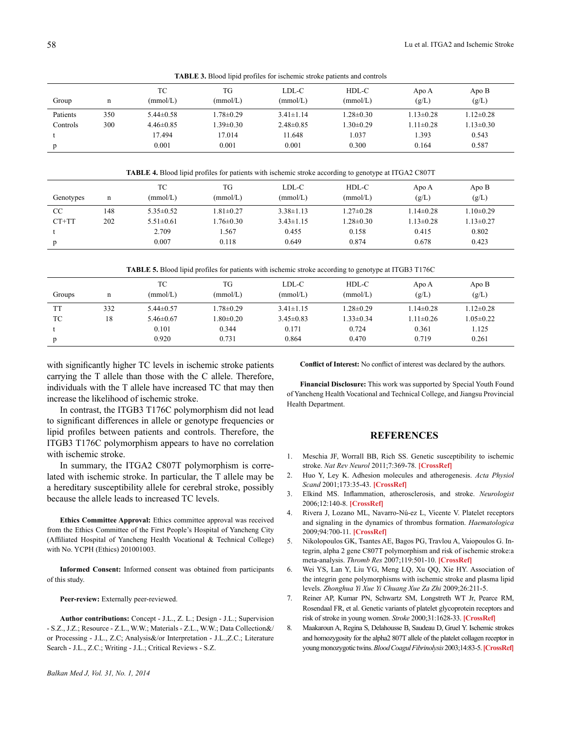**TABLE 3.** Blood lipid profiles for ischemic stroke patients and controls

| Group    | n   | ТC<br>(mmol/L)  | TG<br>(mmol/L)  | LDL-C<br>(mmol/L) | HDL-C<br>(mmol/L) | Apo A<br>(g/L)  | Apo B<br>(g/L)  |
|----------|-----|-----------------|-----------------|-------------------|-------------------|-----------------|-----------------|
| Patients | 350 | $5.44 \pm 0.58$ | 1.78±0.29       | $3.41 \pm 1.14$   | $1.28 \pm 0.30$   | $1.13 \pm 0.28$ | $1.12 \pm 0.28$ |
| Controls | 300 | $4.46\pm0.85$   | $1.39 \pm 0.30$ | $2.48\pm0.85$     | $1.30 \pm 0.29$   | $1.11 \pm 0.28$ | $1.13 \pm 0.30$ |
|          |     | 17.494          | 17.014          | 11.648            | .037              | 1.393           | 0.543           |
| p        |     | 0.001           | 0.001           | 0.001             | 0.300             | 0.164           | 0.587           |

**TABLE 4.** Blood lipid profiles for patients with ischemic stroke according to genotype at ITGA2 C807T

| Genotypes     | n   | ТC<br>(mmol/L)  | TG<br>(mmol/L)  | LDL-C<br>(mmol/L) | HDL-C<br>(mmol/L) | Apo A<br>(g/L)  | Apo B<br>(g/L)  |
|---------------|-----|-----------------|-----------------|-------------------|-------------------|-----------------|-----------------|
| <sub>CC</sub> | 148 | $5.35\pm0.52$   | $1.81 \pm 0.27$ | $3.38 \pm 1.13$   | $1.27 \pm 0.28$   | $1.14\pm0.28$   | $1.10 \pm 0.29$ |
| $CT+TT$       | 202 | $5.51 \pm 0.61$ | $1.76 \pm 0.30$ | $3.43 \pm 1.15$   | $1.28 \pm 0.30$   | $1.13 \pm 0.28$ | $1.13 \pm 0.27$ |
|               |     | 2.709           | 1.567           | 0.455             | 0.158             | 0.415           | 0.802           |
| p             |     | 0.007           | 0.118           | 0.649             | 0.874             | 0.678           | 0.423           |

| Groups    | n   | ТC<br>(mmol/L)  | TG<br>(mmol/L)  | LDL-C<br>(mmol/L) | HDL-C<br>(mmol/L) | Apo A<br>(g/L)  | Apo B<br>(g/L)  |
|-----------|-----|-----------------|-----------------|-------------------|-------------------|-----------------|-----------------|
| <b>TT</b> | 332 | $5.44 \pm 0.57$ | 1.78±0.29       | $3.41 \pm 1.15$   | $1.28 \pm 0.29$   | $1.14 \pm 0.28$ | $1.12 \pm 0.28$ |
| TC        | 18  | $5.46 \pm 0.67$ | $1.80 \pm 0.20$ | $3.45\pm0.83$     | $1.33 \pm 0.34$   | $1.11 \pm 0.26$ | $1.05 \pm 0.22$ |
|           |     | 0.101           | 0.344           | 0.171             | 0.724             | 0.361           | 1.125           |
| p         |     | 0.920           | 0.731           | 0.864             | 0.470             | 0.719           | 0.261           |

with significantly higher TC levels in ischemic stroke patients carrying the T allele than those with the C allele. Therefore, individuals with the T allele have increased TC that may then increase the likelihood of ischemic stroke.

In contrast, the ITGB3 T176C polymorphism did not lead to significant differences in allele or genotype frequencies or lipid profiles between patients and controls. Therefore, the ITGB3 T176C polymorphism appears to have no correlation with ischemic stroke.

In summary, the ITGA2 C807T polymorphism is correlated with ischemic stroke. In particular, the T allele may be a hereditary susceptibility allele for cerebral stroke, possibly because the allele leads to increased TC levels.

**Ethics Committee Approval:** Ethics committee approval was received from the Ethics Committee of the First People's Hospital of Yancheng City (Affiliated Hospital of Yancheng Health Vocational & Technical College) with No. YCPH (Ethics) 201001003.

**Informed Consent:** Informed consent was obtained from participants of this study.

**Peer-review:** Externally peer-reviewed.

**Author contributions:** Concept - J.L., Z. L.; Design - J.L.; Supervision - S.Z., J.Z.; Resource - Z.L., W.W.; Materials - Z.L., W.W.; Data Collection&/ or Processing - J.L., Z.C; Analysis&/or Interpretation - J.L.,Z.C.; Literature Search - J.L., Z.C.; Writing - J.L.; Critical Reviews - S.Z.

**Conflict of Interest:** No conflict of interest was declared by the authors.

**Financial Disclosure:** This work was supported by Special Youth Found of Yancheng Health Vocational and Technical College, and Jiangsu Provincial Health Department.

## **REFERENCES**

- 1. Meschia JF, Worrall BB, Rich SS. Genetic susceptibility to ischemic stroke. *Nat Rev Neurol* [2011;7:369-78.](http://dx.doi.org/10.1038/nrneurol.2011.80) **[CrossRef]**
- 2. Huo Y, Ley K. Adhesion molecules and atherogenesis. *Acta Physiol Scand* [2001;173:35-43.](http://dx.doi.org/10.1046/j.1365-201X.2001.00882.x) **[CrossRef]**
- 3. Elkind MS. Inflammation, atherosclerosis, and stroke. *Neurologist* [2006;12:140-8.](http://dx.doi.org/10.1097/01.nrl.0000215789.70804.b0) **[CrossRef]**
- 4. Rivera J, Lozano ML, Navarro-Nú-ez L, Vicente V. Platelet receptors and signaling in the dynamics of thrombus formation. *Haematologica* [2009;94:700-11.](http://dx.doi.org/10.3324/haematol.2008.003178) **[CrossRef]**
- 5. Nikolopoulos GK, Tsantes AE, Bagos PG, Travlou A, Vaiopoulos G. Integrin, alpha 2 gene C807T polymorphism and risk of ischemic stroke:a meta-analysis. *Thromb Res* [2007;119:501-10.](http://dx.doi.org/10.1016/j.thromres.2006.04.002) **[CrossRef]**
- 6. Wei YS, Lan Y, Liu YG, Meng LQ, Xu QQ, Xie HY. Association of the integrin gene polymorphisms with ischemic stroke and plasma lipid levels. *Zhonghua Yi Xue Yi Chuang Xue Za Zhi* 2009;26:211-5.
- 7. Reiner AP, Kumar PN, Schwartz SM, Longstreth WT Jr, Pearce RM, Rosendaal FR, et al. Genetic variants of platelet glycoprotein receptors and risk of stroke in young women. *Stroke* [2000;31:1628-33.](http://dx.doi.org/10.1161/01.STR.31.7.1628) **[CrossRef]**
- 8. Maakaroun A, Regina S, Delahousse B, Saudeau D, Gruel Y. Ischemic strokes and homozygosity for the alpha2 807T allele of the platelet collagen receptor in youngmonozygotic twins.*Blood Coagul Fibrinolysis*[2003;14:83-5.](http://dx.doi.org/10.1097/00001721-200301000-00015)**[CrossRef]**